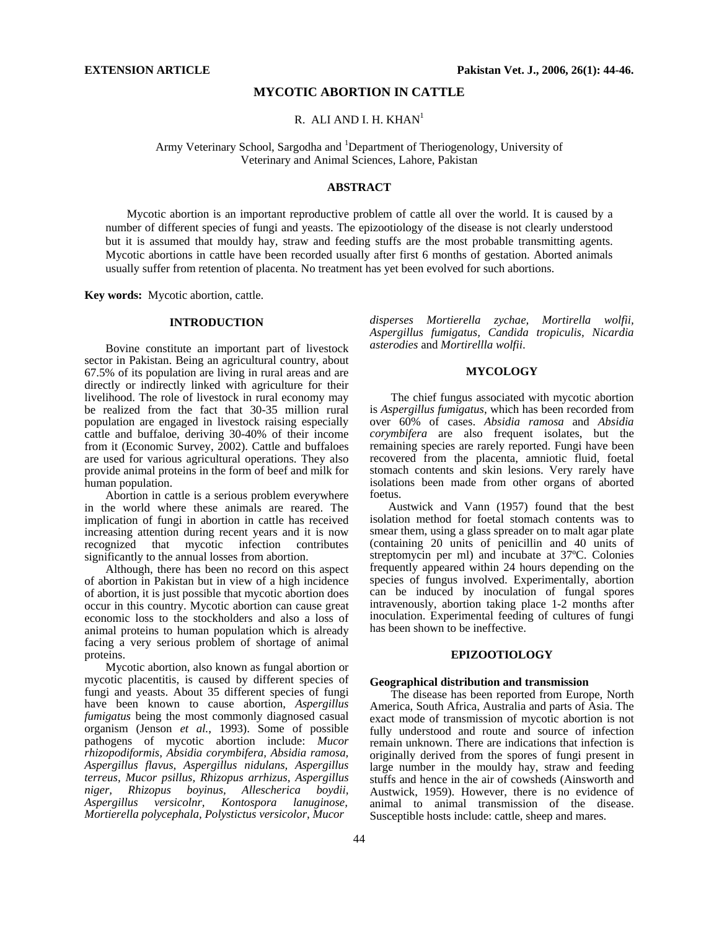## **MYCOTIC ABORTION IN CATTLE**

R. ALI AND I. H. KHAN $<sup>1</sup>$ </sup>

Army Veterinary School, Sargodha and <sup>1</sup>Department of Theriogenology, University of Veterinary and Animal Sciences, Lahore, Pakistan

## **ABSTRACT**

Mycotic abortion is an important reproductive problem of cattle all over the world. It is caused by a number of different species of fungi and yeasts. The epizootiology of the disease is not clearly understood but it is assumed that mouldy hay, straw and feeding stuffs are the most probable transmitting agents. Mycotic abortions in cattle have been recorded usually after first 6 months of gestation. Aborted animals usually suffer from retention of placenta. No treatment has yet been evolved for such abortions.

**Key words:** Mycotic abortion, cattle.

## **INTRODUCTION**

Bovine constitute an important part of livestock sector in Pakistan. Being an agricultural country, about 67.5% of its population are living in rural areas and are directly or indirectly linked with agriculture for their livelihood. The role of livestock in rural economy may be realized from the fact that 30-35 million rural population are engaged in livestock raising especially cattle and buffaloe, deriving 30-40% of their income from it (Economic Survey, 2002). Cattle and buffaloes are used for various agricultural operations. They also provide animal proteins in the form of beef and milk for human population.

Abortion in cattle is a serious problem everywhere in the world where these animals are reared. The implication of fungi in abortion in cattle has received increasing attention during recent years and it is now recognized that mycotic infection contributes significantly to the annual losses from abortion.

Although, there has been no record on this aspect of abortion in Pakistan but in view of a high incidence of abortion, it is just possible that mycotic abortion does occur in this country. Mycotic abortion can cause great economic loss to the stockholders and also a loss of animal proteins to human population which is already facing a very serious problem of shortage of animal proteins.

Mycotic abortion, also known as fungal abortion or mycotic placentitis, is caused by different species of fungi and yeasts. About 35 different species of fungi have been known to cause abortion, *Aspergillus fumigatus* being the most commonly diagnosed casual organism (Jenson *et al.*, 1993). Some of possible pathogens of mycotic abortion include: *Mucor rhizopodiformis, Absidia corymbifera, Absidia ramosa, Aspergillus flavus, Aspergillus nidulans, Aspergillus terreus, Mucor psillus, Rhizopus arrhizus, Aspergillus niger, Rhizopus boyinus, Allescherica boydii, Aspergillus versicolnr, Kontospora lanuginose, Mortierella polycephala, Polystictus versicolor, Mucor* 

*disperses Mortierella zychae, Mortirella wolfii, Aspergillus fumigatus, Candida tropiculis, Nicardia asterodies* and *Mortirellla wolfii*.

### **MYCOLOGY**

The chief fungus associated with mycotic abortion is *Aspergillus fumigatus*, which has been recorded from over 60% of cases. *Absidia ramosa* and *Absidia corymbifera* are also frequent isolates, but the remaining species are rarely reported. Fungi have been recovered from the placenta, amniotic fluid, foetal stomach contents and skin lesions. Very rarely have isolations been made from other organs of aborted foetus.

Austwick and Vann (1957) found that the best isolation method for foetal stomach contents was to smear them, using a glass spreader on to malt agar plate (containing 20 units of penicillin and 40 units of streptomycin per ml) and incubate at 37ºC. Colonies frequently appeared within 24 hours depending on the species of fungus involved. Experimentally, abortion can be induced by inoculation of fungal spores intravenously, abortion taking place 1-2 months after inoculation. Experimental feeding of cultures of fungi has been shown to be ineffective.

## **EPIZOOTIOLOGY**

#### **Geographical distribution and transmission**

The disease has been reported from Europe, North America, South Africa, Australia and parts of Asia. The exact mode of transmission of mycotic abortion is not fully understood and route and source of infection remain unknown. There are indications that infection is originally derived from the spores of fungi present in large number in the mouldy hay, straw and feeding stuffs and hence in the air of cowsheds (Ainsworth and Austwick, 1959). However, there is no evidence of animal to animal transmission of the disease. Susceptible hosts include: cattle, sheep and mares.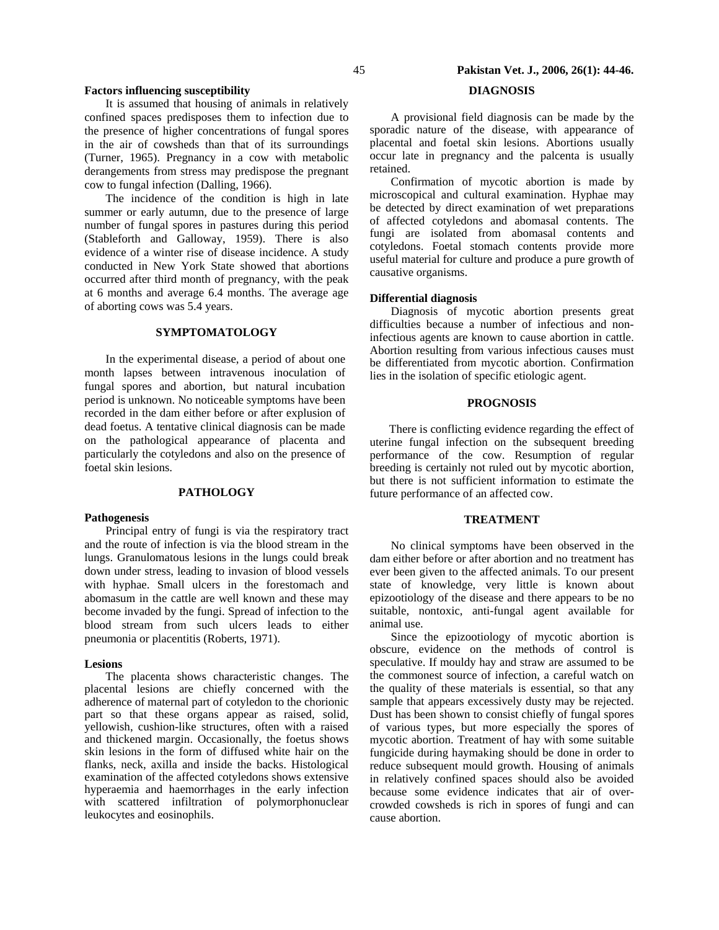## **Factors influencing susceptibility**

It is assumed that housing of animals in relatively confined spaces predisposes them to infection due to the presence of higher concentrations of fungal spores in the air of cowsheds than that of its surroundings (Turner, 1965). Pregnancy in a cow with metabolic derangements from stress may predispose the pregnant cow to fungal infection (Dalling, 1966).

The incidence of the condition is high in late summer or early autumn, due to the presence of large number of fungal spores in pastures during this period (Stableforth and Galloway, 1959). There is also evidence of a winter rise of disease incidence. A study conducted in New York State showed that abortions occurred after third month of pregnancy, with the peak at 6 months and average 6.4 months. The average age of aborting cows was 5.4 years.

## **SYMPTOMATOLOGY**

In the experimental disease, a period of about one month lapses between intravenous inoculation of fungal spores and abortion, but natural incubation period is unknown. No noticeable symptoms have been recorded in the dam either before or after explusion of dead foetus. A tentative clinical diagnosis can be made on the pathological appearance of placenta and particularly the cotyledons and also on the presence of foetal skin lesions.

## **PATHOLOGY**

#### **Pathogenesis**

Principal entry of fungi is via the respiratory tract and the route of infection is via the blood stream in the lungs. Granulomatous lesions in the lungs could break down under stress, leading to invasion of blood vessels with hyphae. Small ulcers in the forestomach and abomasum in the cattle are well known and these may become invaded by the fungi. Spread of infection to the blood stream from such ulcers leads to either pneumonia or placentitis (Roberts, 1971).

#### **Lesions**

The placenta shows characteristic changes. The placental lesions are chiefly concerned with the adherence of maternal part of cotyledon to the chorionic part so that these organs appear as raised, solid, yellowish, cushion-like structures, often with a raised and thickened margin. Occasionally, the foetus shows skin lesions in the form of diffused white hair on the flanks, neck, axilla and inside the backs. Histological examination of the affected cotyledons shows extensive hyperaemia and haemorrhages in the early infection with scattered infiltration of polymorphonuclear leukocytes and eosinophils.

# **DIAGNOSIS**

A provisional field diagnosis can be made by the sporadic nature of the disease, with appearance of placental and foetal skin lesions. Abortions usually occur late in pregnancy and the palcenta is usually retained.

Confirmation of mycotic abortion is made by microscopical and cultural examination. Hyphae may be detected by direct examination of wet preparations of affected cotyledons and abomasal contents. The fungi are isolated from abomasal contents and cotyledons. Foetal stomach contents provide more useful material for culture and produce a pure growth of causative organisms.

#### **Differential diagnosis**

Diagnosis of mycotic abortion presents great difficulties because a number of infectious and noninfectious agents are known to cause abortion in cattle. Abortion resulting from various infectious causes must be differentiated from mycotic abortion. Confirmation lies in the isolation of specific etiologic agent.

#### **PROGNOSIS**

There is conflicting evidence regarding the effect of uterine fungal infection on the subsequent breeding performance of the cow. Resumption of regular breeding is certainly not ruled out by mycotic abortion, but there is not sufficient information to estimate the future performance of an affected cow.

#### **TREATMENT**

No clinical symptoms have been observed in the dam either before or after abortion and no treatment has ever been given to the affected animals. To our present state of knowledge, very little is known about epizootiology of the disease and there appears to be no suitable, nontoxic, anti-fungal agent available for animal use.

Since the epizootiology of mycotic abortion is obscure, evidence on the methods of control is speculative. If mouldy hay and straw are assumed to be the commonest source of infection, a careful watch on the quality of these materials is essential, so that any sample that appears excessively dusty may be rejected. Dust has been shown to consist chiefly of fungal spores of various types, but more especially the spores of mycotic abortion. Treatment of hay with some suitable fungicide during haymaking should be done in order to reduce subsequent mould growth. Housing of animals in relatively confined spaces should also be avoided because some evidence indicates that air of overcrowded cowsheds is rich in spores of fungi and can cause abortion.